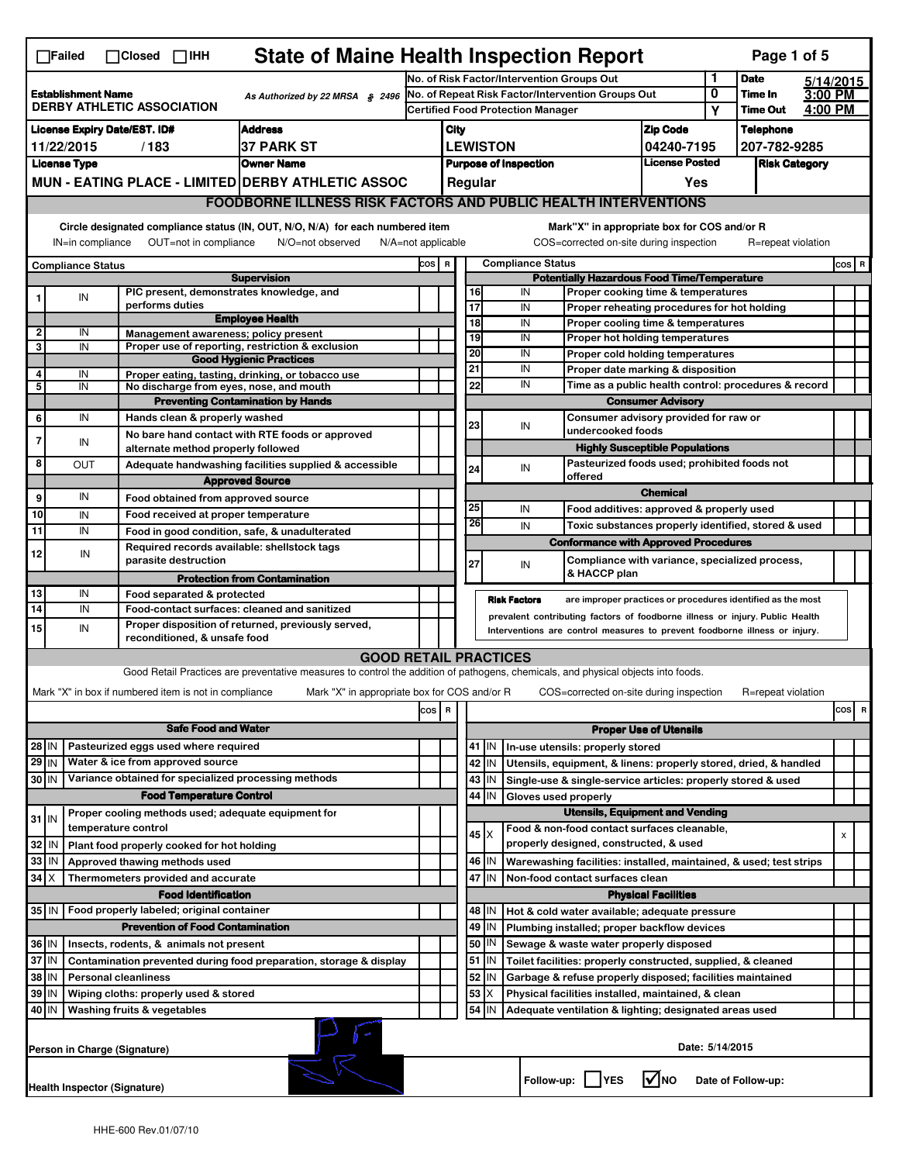|                                                                                                     | <b>State of Maine Health Inspection Report</b><br>Page 1 of 5<br>$\Box$ Failed<br>$\Box$ Closed $\Box$ IHH                                                                                                                                                                            |                                                                            |                                                                                                                                   |                                            |                                            |  |                 |                          |                                                                                           |                                       |                                  |                    |  |       |   |
|-----------------------------------------------------------------------------------------------------|---------------------------------------------------------------------------------------------------------------------------------------------------------------------------------------------------------------------------------------------------------------------------------------|----------------------------------------------------------------------------|-----------------------------------------------------------------------------------------------------------------------------------|--------------------------------------------|--------------------------------------------|--|-----------------|--------------------------|-------------------------------------------------------------------------------------------|---------------------------------------|----------------------------------|--------------------|--|-------|---|
|                                                                                                     |                                                                                                                                                                                                                                                                                       |                                                                            |                                                                                                                                   | No. of Risk Factor/Intervention Groups Out |                                            |  |                 |                          |                                                                                           | 1                                     | <b>Date</b>                      | 5/14/2015          |  |       |   |
| <b>Establishment Name</b><br>As Authorized by 22 MRSA $$$ 2496<br><b>DERBY ATHLETIC ASSOCIATION</b> |                                                                                                                                                                                                                                                                                       |                                                                            | No. of Repeat Risk Factor/Intervention Groups Out                                                                                 |                                            |                                            |  |                 |                          | 0<br>Υ                                                                                    | Time In<br><b>Time Out</b>            | 3:00 PM<br>4:00 PM               |                    |  |       |   |
|                                                                                                     | <b>Address</b>                                                                                                                                                                                                                                                                        |                                                                            |                                                                                                                                   |                                            | <b>Certified Food Protection Manager</b>   |  |                 |                          |                                                                                           |                                       |                                  |                    |  |       |   |
|                                                                                                     | <b>License Expiry Date/EST. ID#</b><br><b>37 PARK ST</b><br>11/22/2015<br>/183                                                                                                                                                                                                        |                                                                            |                                                                                                                                   |                                            | <b>Zip Code</b><br>City<br><b>LEWISTON</b> |  |                 |                          | 04240-7195                                                                                |                                       | <b>Telephone</b><br>207-782-9285 |                    |  |       |   |
|                                                                                                     | <b>Owner Name</b><br><b>License Type</b>                                                                                                                                                                                                                                              |                                                                            |                                                                                                                                   |                                            | <b>Purpose of Inspection</b>               |  |                 | <b>License Posted</b>    |                                                                                           | <b>Risk Category</b>                  |                                  |                    |  |       |   |
|                                                                                                     |                                                                                                                                                                                                                                                                                       |                                                                            | MUN - EATING PLACE - LIMITED DERBY ATHLETIC ASSOC                                                                                 |                                            | Regular                                    |  |                 |                          | Yes                                                                                       |                                       |                                  |                    |  |       |   |
|                                                                                                     |                                                                                                                                                                                                                                                                                       |                                                                            | <b>FOODBORNE ILLNESS RISK FACTORS AND PUBLIC HEALTH INTERVENTIONS</b>                                                             |                                            |                                            |  |                 |                          |                                                                                           |                                       |                                  |                    |  |       |   |
|                                                                                                     |                                                                                                                                                                                                                                                                                       |                                                                            |                                                                                                                                   |                                            |                                            |  |                 |                          |                                                                                           |                                       |                                  |                    |  |       |   |
|                                                                                                     | Circle designated compliance status (IN, OUT, N/O, N/A) for each numbered item<br>Mark"X" in appropriate box for COS and/or R<br>IN=in compliance<br>OUT=not in compliance<br>N/A=not applicable<br>COS=corrected on-site during inspection<br>R=repeat violation<br>N/O=not observed |                                                                            |                                                                                                                                   |                                            |                                            |  |                 |                          |                                                                                           |                                       |                                  |                    |  |       |   |
| <b>Compliance Status</b>                                                                            |                                                                                                                                                                                                                                                                                       |                                                                            |                                                                                                                                   | COS R                                      |                                            |  |                 | <b>Compliance Status</b> |                                                                                           |                                       |                                  |                    |  | COS R |   |
|                                                                                                     |                                                                                                                                                                                                                                                                                       | PIC present, demonstrates knowledge, and                                   | <b>Supervision</b>                                                                                                                |                                            |                                            |  | 16              | IN                       | <b>Potentially Hazardous Food Time/Temperature</b><br>Proper cooking time & temperatures  |                                       |                                  |                    |  |       |   |
|                                                                                                     | IN                                                                                                                                                                                                                                                                                    | performs duties                                                            |                                                                                                                                   |                                            |                                            |  | $\overline{17}$ | IN                       | Proper reheating procedures for hot holding                                               |                                       |                                  |                    |  |       |   |
|                                                                                                     |                                                                                                                                                                                                                                                                                       |                                                                            | <b>Employee Health</b>                                                                                                            |                                            |                                            |  | 18              | IN                       | Proper cooling time & temperatures                                                        |                                       |                                  |                    |  |       |   |
| $\overline{2}$<br>3                                                                                 | IN<br>IN                                                                                                                                                                                                                                                                              | Management awareness; policy present                                       | Proper use of reporting, restriction & exclusion                                                                                  |                                            |                                            |  | 19              | IN                       | Proper hot holding temperatures                                                           |                                       |                                  |                    |  |       |   |
|                                                                                                     |                                                                                                                                                                                                                                                                                       |                                                                            | <b>Good Hygienic Practices</b>                                                                                                    |                                            |                                            |  | 20              | IN                       | Proper cold holding temperatures                                                          |                                       |                                  |                    |  |       |   |
| 4<br>5                                                                                              | IN<br>IN                                                                                                                                                                                                                                                                              |                                                                            | Proper eating, tasting, drinking, or tobacco use                                                                                  |                                            |                                            |  | 21<br>22        | IN<br>IN                 | Proper date marking & disposition<br>Time as a public health control: procedures & record |                                       |                                  |                    |  |       |   |
|                                                                                                     |                                                                                                                                                                                                                                                                                       | No discharge from eyes, nose, and mouth                                    | <b>Preventing Contamination by Hands</b>                                                                                          |                                            |                                            |  |                 |                          |                                                                                           | <b>Consumer Advisory</b>              |                                  |                    |  |       |   |
| 6                                                                                                   | IN                                                                                                                                                                                                                                                                                    | Hands clean & properly washed                                              |                                                                                                                                   |                                            |                                            |  |                 |                          | Consumer advisory provided for raw or                                                     |                                       |                                  |                    |  |       |   |
|                                                                                                     |                                                                                                                                                                                                                                                                                       |                                                                            | No bare hand contact with RTE foods or approved                                                                                   |                                            |                                            |  | 23              | IN                       | undercooked foods                                                                         |                                       |                                  |                    |  |       |   |
| 7                                                                                                   | IN                                                                                                                                                                                                                                                                                    | alternate method properly followed                                         |                                                                                                                                   |                                            |                                            |  |                 |                          |                                                                                           | <b>Highly Susceptible Populations</b> |                                  |                    |  |       |   |
| 8                                                                                                   | OUT                                                                                                                                                                                                                                                                                   |                                                                            | Adequate handwashing facilities supplied & accessible                                                                             |                                            |                                            |  | 24              | IN                       | Pasteurized foods used; prohibited foods not                                              |                                       |                                  |                    |  |       |   |
|                                                                                                     |                                                                                                                                                                                                                                                                                       |                                                                            | <b>Approved Source</b>                                                                                                            |                                            |                                            |  |                 |                          | offered                                                                                   | <b>Chemical</b>                       |                                  |                    |  |       |   |
| 9                                                                                                   | IN                                                                                                                                                                                                                                                                                    | Food obtained from approved source                                         |                                                                                                                                   |                                            |                                            |  | 25              | IN                       | Food additives: approved & properly used                                                  |                                       |                                  |                    |  |       |   |
| 10<br>11                                                                                            | IN<br>IN                                                                                                                                                                                                                                                                              | Food received at proper temperature                                        |                                                                                                                                   |                                            |                                            |  | 26              | IN                       | Toxic substances properly identified, stored & used                                       |                                       |                                  |                    |  |       |   |
|                                                                                                     |                                                                                                                                                                                                                                                                                       | Required records available: shellstock tags                                | Food in good condition, safe, & unadulterated                                                                                     |                                            |                                            |  |                 |                          | <b>Conformance with Approved Procedures</b>                                               |                                       |                                  |                    |  |       |   |
| 12                                                                                                  | IN                                                                                                                                                                                                                                                                                    | parasite destruction                                                       |                                                                                                                                   |                                            |                                            |  | 27              | IN                       | Compliance with variance, specialized process,                                            |                                       |                                  |                    |  |       |   |
|                                                                                                     |                                                                                                                                                                                                                                                                                       |                                                                            | <b>Protection from Contamination</b>                                                                                              |                                            |                                            |  |                 |                          | & HACCP plan                                                                              |                                       |                                  |                    |  |       |   |
| 13<br>14                                                                                            | IN<br>IN                                                                                                                                                                                                                                                                              | Food separated & protected                                                 |                                                                                                                                   |                                            |                                            |  |                 | <b>Risk Factors</b>      | are improper practices or procedures identified as the most                               |                                       |                                  |                    |  |       |   |
| 15                                                                                                  | Food-contact surfaces: cleaned and sanitized<br>prevalent contributing factors of foodborne illness or injury. Public Health<br>Proper disposition of returned, previously served,<br>IN<br>Interventions are control measures to prevent foodborne illness or injury.                |                                                                            |                                                                                                                                   |                                            |                                            |  |                 |                          |                                                                                           |                                       |                                  |                    |  |       |   |
|                                                                                                     |                                                                                                                                                                                                                                                                                       | reconditioned, & unsafe food                                               |                                                                                                                                   |                                            |                                            |  |                 |                          |                                                                                           |                                       |                                  |                    |  |       |   |
|                                                                                                     |                                                                                                                                                                                                                                                                                       |                                                                            | <b>GOOD RETAIL PRACTICES</b>                                                                                                      |                                            |                                            |  |                 |                          |                                                                                           |                                       |                                  |                    |  |       |   |
|                                                                                                     |                                                                                                                                                                                                                                                                                       |                                                                            | Good Retail Practices are preventative measures to control the addition of pathogens, chemicals, and physical objects into foods. |                                            |                                            |  |                 |                          |                                                                                           |                                       |                                  |                    |  |       |   |
|                                                                                                     |                                                                                                                                                                                                                                                                                       | Mark "X" in box if numbered item is not in compliance                      | Mark "X" in appropriate box for COS and/or R                                                                                      |                                            |                                            |  |                 |                          | COS=corrected on-site during inspection                                                   |                                       |                                  | R=repeat violation |  |       |   |
|                                                                                                     |                                                                                                                                                                                                                                                                                       |                                                                            |                                                                                                                                   | cos                                        | R                                          |  |                 |                          |                                                                                           |                                       |                                  |                    |  | cos   | R |
|                                                                                                     |                                                                                                                                                                                                                                                                                       | <b>Safe Food and Water</b>                                                 |                                                                                                                                   |                                            |                                            |  |                 |                          |                                                                                           | <b>Proper Use of Utensils</b>         |                                  |                    |  |       |   |
| 28 IN                                                                                               |                                                                                                                                                                                                                                                                                       | Pasteurized eggs used where required                                       |                                                                                                                                   |                                            |                                            |  | 41   IN         |                          | In-use utensils: properly stored                                                          |                                       |                                  |                    |  |       |   |
| $29$ IN                                                                                             |                                                                                                                                                                                                                                                                                       | Water & ice from approved source                                           |                                                                                                                                   |                                            |                                            |  | 42 IN           |                          | Utensils, equipment, & linens: properly stored, dried, & handled                          |                                       |                                  |                    |  |       |   |
| 30 IN                                                                                               |                                                                                                                                                                                                                                                                                       | Variance obtained for specialized processing methods                       |                                                                                                                                   |                                            |                                            |  | $43$   IN       |                          | Single-use & single-service articles: properly stored & used                              |                                       |                                  |                    |  |       |   |
|                                                                                                     |                                                                                                                                                                                                                                                                                       | <b>Food Temperature Control</b>                                            |                                                                                                                                   |                                            |                                            |  | 44<br>İΙN       | Gloves used properly     |                                                                                           |                                       |                                  |                    |  |       |   |
| $31$ IN                                                                                             |                                                                                                                                                                                                                                                                                       | Proper cooling methods used; adequate equipment for<br>temperature control |                                                                                                                                   |                                            |                                            |  |                 |                          | <b>Utensils, Equipment and Vending</b><br>Food & non-food contact surfaces cleanable.     |                                       |                                  |                    |  |       |   |
| 32                                                                                                  | ۱N                                                                                                                                                                                                                                                                                    | Plant food properly cooked for hot holding                                 |                                                                                                                                   |                                            |                                            |  | 45 X            |                          | properly designed, constructed, & used                                                    |                                       |                                  |                    |  | X     |   |
| 33 IN                                                                                               |                                                                                                                                                                                                                                                                                       | Approved thawing methods used                                              |                                                                                                                                   |                                            |                                            |  | 46   IN         |                          | Warewashing facilities: installed, maintained, & used; test strips                        |                                       |                                  |                    |  |       |   |
| $34$ $\times$                                                                                       |                                                                                                                                                                                                                                                                                       | Thermometers provided and accurate                                         |                                                                                                                                   |                                            |                                            |  | 47 IN           |                          | Non-food contact surfaces clean                                                           |                                       |                                  |                    |  |       |   |
|                                                                                                     |                                                                                                                                                                                                                                                                                       | <b>Food Identification</b>                                                 |                                                                                                                                   |                                            |                                            |  |                 |                          |                                                                                           | <b>Physical Facilities</b>            |                                  |                    |  |       |   |
|                                                                                                     |                                                                                                                                                                                                                                                                                       | 35 IN   Food properly labeled; original container                          |                                                                                                                                   |                                            |                                            |  | 48   IN         |                          | Hot & cold water available; adequate pressure                                             |                                       |                                  |                    |  |       |   |
|                                                                                                     |                                                                                                                                                                                                                                                                                       | <b>Prevention of Food Contamination</b>                                    |                                                                                                                                   |                                            |                                            |  | $49$ IN         |                          | Plumbing installed; proper backflow devices                                               |                                       |                                  |                    |  |       |   |
| 36 IN                                                                                               |                                                                                                                                                                                                                                                                                       | Insects, rodents, & animals not present                                    |                                                                                                                                   |                                            |                                            |  | 50   IN         |                          | Sewage & waste water properly disposed                                                    |                                       |                                  |                    |  |       |   |
| 37                                                                                                  | IN                                                                                                                                                                                                                                                                                    |                                                                            | Contamination prevented during food preparation, storage & display                                                                |                                            |                                            |  | 51<br>IN.       |                          | Toilet facilities: properly constructed, supplied, & cleaned                              |                                       |                                  |                    |  |       |   |
| 38 IN                                                                                               |                                                                                                                                                                                                                                                                                       | <b>Personal cleanliness</b>                                                |                                                                                                                                   |                                            |                                            |  | 52<br>IN        |                          | Garbage & refuse properly disposed; facilities maintained                                 |                                       |                                  |                    |  |       |   |
| 39 IN                                                                                               |                                                                                                                                                                                                                                                                                       | Wiping cloths: properly used & stored                                      |                                                                                                                                   |                                            |                                            |  | 53<br>Х         |                          | Physical facilities installed, maintained, & clean                                        |                                       |                                  |                    |  |       |   |
| 40   IN                                                                                             |                                                                                                                                                                                                                                                                                       | Washing fruits & vegetables                                                |                                                                                                                                   |                                            |                                            |  | 54 J IN         |                          | Adequate ventilation & lighting; designated areas used                                    |                                       |                                  |                    |  |       |   |
|                                                                                                     | Date: 5/14/2015<br>Person in Charge (Signature)                                                                                                                                                                                                                                       |                                                                            |                                                                                                                                   |                                            |                                            |  |                 |                          |                                                                                           |                                       |                                  |                    |  |       |   |
|                                                                                                     | Follow-up:  <br>l✔lno<br><b>IYES</b><br>Date of Follow-up:<br><b>Health Inspector (Signature)</b>                                                                                                                                                                                     |                                                                            |                                                                                                                                   |                                            |                                            |  |                 |                          |                                                                                           |                                       |                                  |                    |  |       |   |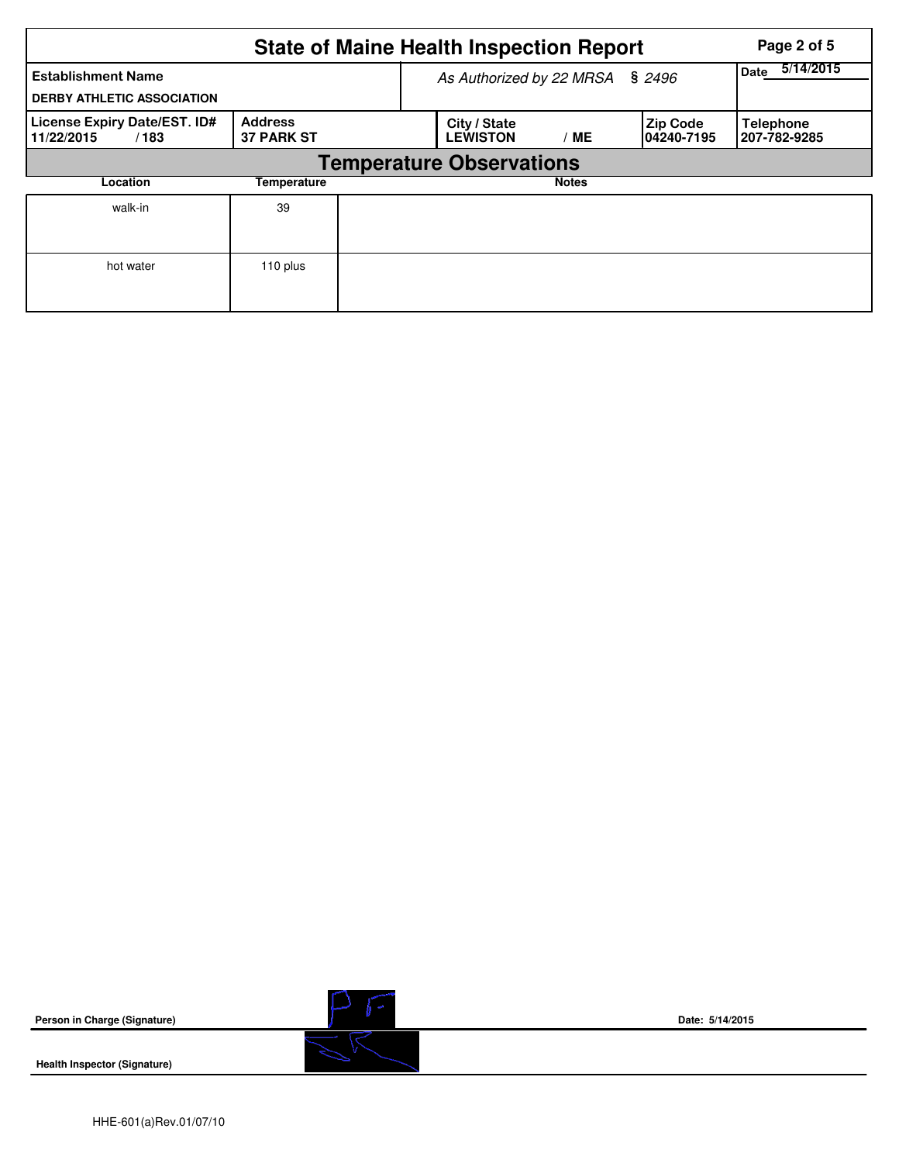|                                                                | Page 2 of 5                         |  |                                 |                   |                                |                                  |
|----------------------------------------------------------------|-------------------------------------|--|---------------------------------|-------------------|--------------------------------|----------------------------------|
| <b>Establishment Name</b><br><b>DERBY ATHLETIC ASSOCIATION</b> |                                     |  | As Authorized by 22 MRSA § 2496 | 5/14/2015<br>Date |                                |                                  |
| License Expiry Date/EST. ID#<br>11/22/2015<br>/183             | <b>Address</b><br><b>37 PARK ST</b> |  | City / State<br><b>LEWISTON</b> | МE                | <b>Zip Code</b><br>104240-7195 | <b>Telephone</b><br>207-782-9285 |
|                                                                |                                     |  |                                 |                   |                                |                                  |
| Location                                                       | Temperature                         |  |                                 | <b>Notes</b>      |                                |                                  |
| walk-in                                                        | 39                                  |  |                                 |                   |                                |                                  |
| hot water                                                      | 110 plus                            |  |                                 |                   |                                |                                  |

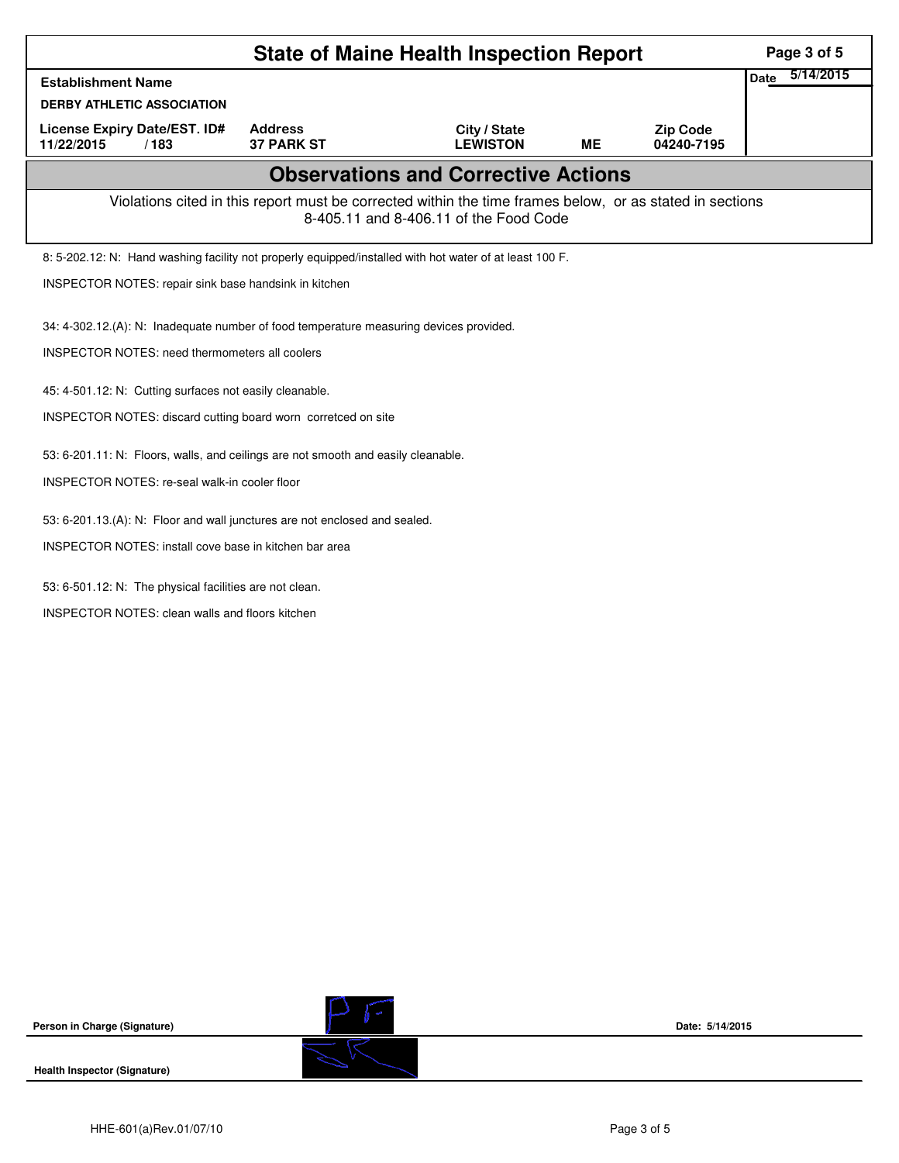|                                                                                                          |                                     | <b>State of Maine Health Inspection Report</b> |    |                               | Page 3 of 5              |
|----------------------------------------------------------------------------------------------------------|-------------------------------------|------------------------------------------------|----|-------------------------------|--------------------------|
| <b>Establishment Name</b>                                                                                |                                     |                                                |    |                               | 5/14/2015<br><b>Date</b> |
| <b>DERBY ATHLETIC ASSOCIATION</b>                                                                        |                                     |                                                |    |                               |                          |
| License Expiry Date/EST. ID#<br>11/22/2015<br>/183                                                       | <b>Address</b><br><b>37 PARK ST</b> | City / State<br><b>LEWISTON</b>                | МE | <b>Zip Code</b><br>04240-7195 |                          |
|                                                                                                          |                                     |                                                |    |                               |                          |
| Violations cited in this report must be corrected within the time frames below, or as stated in sections |                                     |                                                |    |                               |                          |
| 8: 5-202.12: N: Hand washing facility not properly equipped/installed with hot water of at least 100 F.  |                                     |                                                |    |                               |                          |
| INSPECTOR NOTES: repair sink base handsink in kitchen                                                    |                                     |                                                |    |                               |                          |
| 34: 4-302.12.(A): N: Inadequate number of food temperature measuring devices provided.                   |                                     |                                                |    |                               |                          |
| INSPECTOR NOTES: need thermometers all coolers                                                           |                                     |                                                |    |                               |                          |
|                                                                                                          |                                     |                                                |    |                               |                          |
| 45: 4-501.12: N: Cutting surfaces not easily cleanable.                                                  |                                     |                                                |    |                               |                          |
| INSPECTOR NOTES: discard cutting board worn corretced on site                                            |                                     |                                                |    |                               |                          |
| 53: 6-201.11: N: Floors, walls, and ceilings are not smooth and easily cleanable.                        |                                     |                                                |    |                               |                          |
| INSPECTOR NOTES: re-seal walk-in cooler floor                                                            |                                     |                                                |    |                               |                          |
| 53: 6-201.13.(A): N: Floor and wall junctures are not enclosed and sealed.                               |                                     |                                                |    |                               |                          |
| INSPECTOR NOTES: install cove base in kitchen bar area                                                   |                                     |                                                |    |                               |                          |
|                                                                                                          |                                     |                                                |    |                               |                          |
| 53: 6-501.12: N: The physical facilities are not clean.                                                  |                                     |                                                |    |                               |                          |
| <b>INSPECTOR NOTES: clean walls and floors kitchen</b>                                                   |                                     |                                                |    |                               |                          |
|                                                                                                          |                                     |                                                |    |                               |                          |
|                                                                                                          |                                     |                                                |    |                               |                          |
|                                                                                                          |                                     |                                                |    |                               |                          |
|                                                                                                          |                                     |                                                |    |                               |                          |
|                                                                                                          |                                     |                                                |    |                               |                          |
|                                                                                                          |                                     |                                                |    |                               |                          |
|                                                                                                          |                                     |                                                |    |                               |                          |

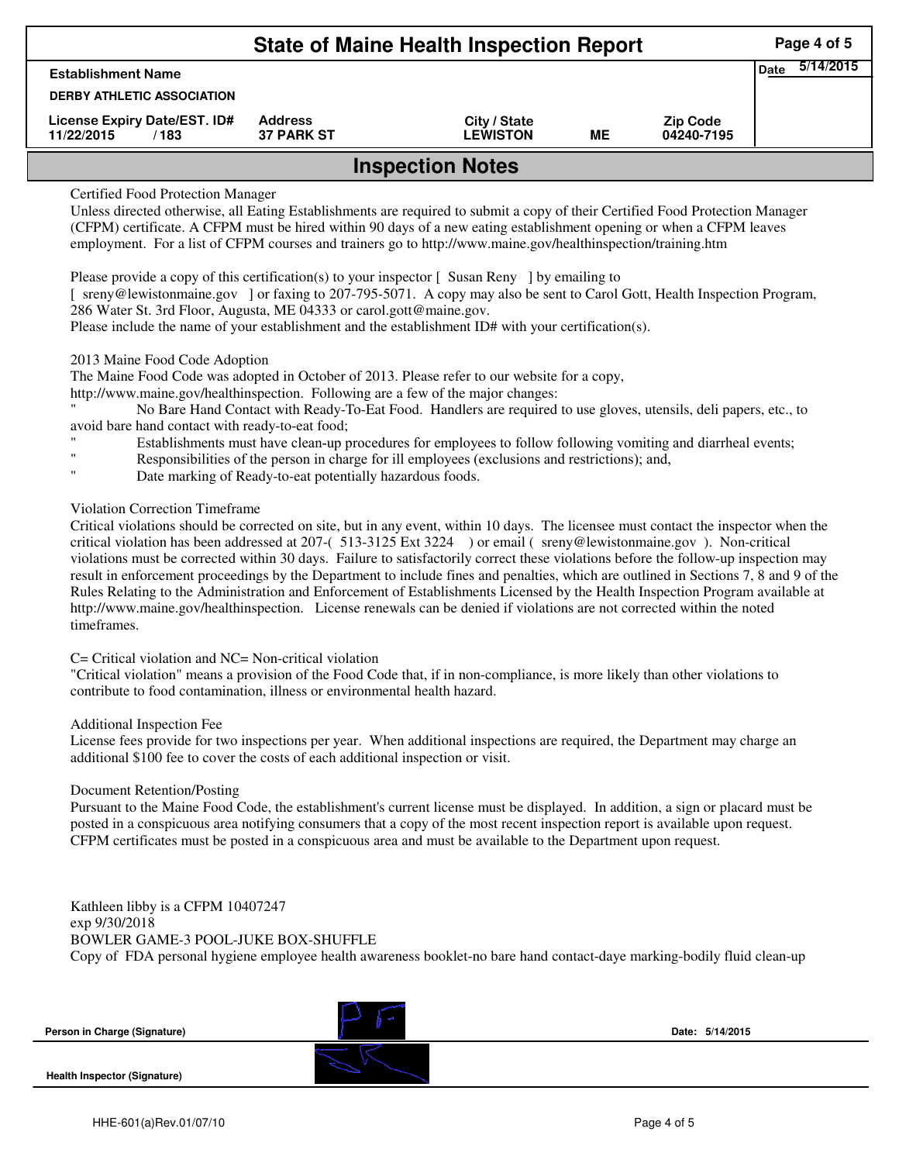|                                                    | Page 4 of 5                         |                                 |    |                               |  |  |  |  |
|----------------------------------------------------|-------------------------------------|---------------------------------|----|-------------------------------|--|--|--|--|
| <b>Establishment Name</b>                          | 5/14/2015<br>Date                   |                                 |    |                               |  |  |  |  |
| <b>DERBY ATHLETIC ASSOCIATION</b>                  |                                     |                                 |    |                               |  |  |  |  |
| License Expiry Date/EST. ID#<br>11/22/2015<br>/183 | <b>Address</b><br><b>37 PARK ST</b> | City / State<br><b>LEWISTON</b> | MЕ | <b>Zip Code</b><br>04240-7195 |  |  |  |  |
| <b>Inspection Notes</b>                            |                                     |                                 |    |                               |  |  |  |  |

## Certified Food Protection Manager

Unless directed otherwise, all Eating Establishments are required to submit a copy of their Certified Food Protection Manager (CFPM) certificate. A CFPM must be hired within 90 days of a new eating establishment opening or when a CFPM leaves employment. For a list of CFPM courses and trainers go to http://www.maine.gov/healthinspection/training.htm

Please provide a copy of this certification(s) to your inspector  $\lceil$  Susan Reny  $\rceil$  by emailing to

[ sreny@lewistonmaine.gov ] or faxing to 207-795-5071. A copy may also be sent to Carol Gott, Health Inspection Program, 286 Water St. 3rd Floor, Augusta, ME 04333 or carol.gott@maine.gov.

Please include the name of your establishment and the establishment ID# with your certification(s).

### 2013 Maine Food Code Adoption

The Maine Food Code was adopted in October of 2013. Please refer to our website for a copy,

http://www.maine.gov/healthinspection. Following are a few of the major changes:

" No Bare Hand Contact with Ready-To-Eat Food. Handlers are required to use gloves, utensils, deli papers, etc., to avoid bare hand contact with ready-to-eat food;

- Establishments must have clean-up procedures for employees to follow following vomiting and diarrheal events;
- Responsibilities of the person in charge for ill employees (exclusions and restrictions); and,
- Date marking of Ready-to-eat potentially hazardous foods.

# Violation Correction Timeframe

Critical violations should be corrected on site, but in any event, within 10 days. The licensee must contact the inspector when the critical violation has been addressed at 207-( 513-3125 Ext 3224 ) or email ( sreny@lewistonmaine.gov ). Non-critical violations must be corrected within 30 days. Failure to satisfactorily correct these violations before the follow-up inspection may result in enforcement proceedings by the Department to include fines and penalties, which are outlined in Sections 7, 8 and 9 of the Rules Relating to the Administration and Enforcement of Establishments Licensed by the Health Inspection Program available at http://www.maine.gov/healthinspection. License renewals can be denied if violations are not corrected within the noted timeframes.

### C= Critical violation and NC= Non-critical violation

"Critical violation" means a provision of the Food Code that, if in non-compliance, is more likely than other violations to contribute to food contamination, illness or environmental health hazard.

#### Additional Inspection Fee

License fees provide for two inspections per year. When additional inspections are required, the Department may charge an additional \$100 fee to cover the costs of each additional inspection or visit.

#### Document Retention/Posting

Pursuant to the Maine Food Code, the establishment's current license must be displayed. In addition, a sign or placard must be posted in a conspicuous area notifying consumers that a copy of the most recent inspection report is available upon request. CFPM certificates must be posted in a conspicuous area and must be available to the Department upon request.

Kathleen libby is a CFPM 10407247 exp 9/30/2018 BOWLER GAME-3 POOL-JUKE BOX-SHUFFLE Copy of FDA personal hygiene employee health awareness booklet-no bare hand contact-daye marking-bodily fluid clean-up

| Person in Charge (Signature)        | Date: 5/14/2015 |  |
|-------------------------------------|-----------------|--|
| <b>Health Inspector (Signature)</b> |                 |  |